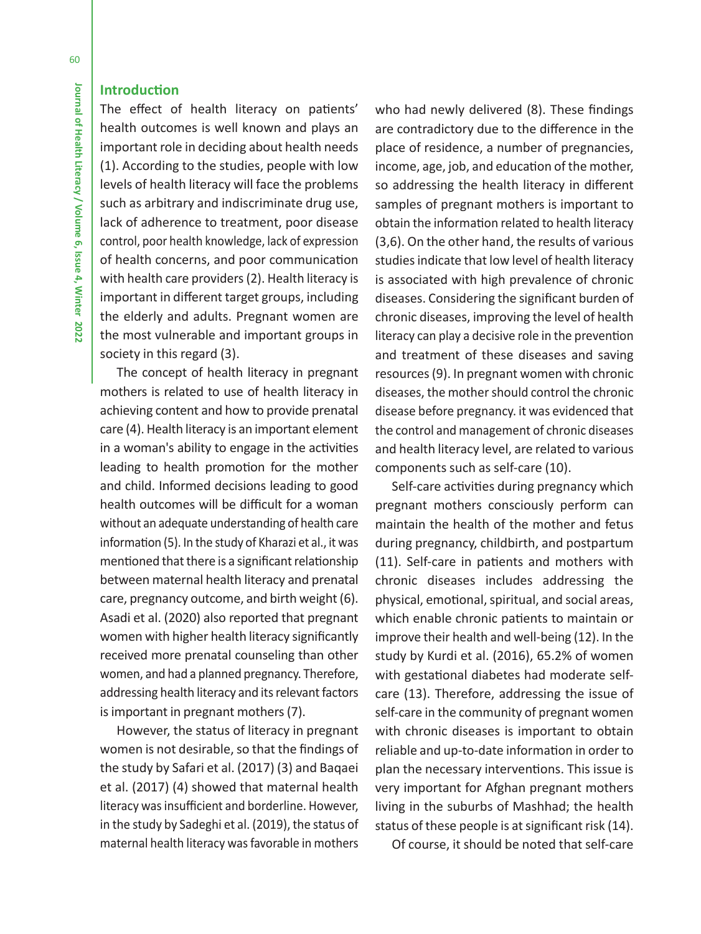# **Introduction**

The effect of health literacy on patients' health outcomes is well known and plays an important role in deciding about health needs (1). According to the studies, people with low levels of health literacy will face the problems such as arbitrary and indiscriminate drug use, lack of adherence to treatment, poor disease control, poor health knowledge, lack of expression of health concerns, and poor communication with health care providers (2). Health literacy is important in different target groups, including the elderly and adults. Pregnant women are the most vulnerable and important groups in society in this regard (3).

The concept of health literacy in pregnant mothers is related to use of health literacy in achieving content and how to provide prenatal care (4). Health literacy is an important element in a woman's ability to engage in the activities leading to health promotion for the mother and child. Informed decisions leading to good health outcomes will be difficult for a woman without an adequate understanding of health care information (5). In the study of Kharazi et al., it was mentioned that there is a significant relationship between maternal health literacy and prenatal care, pregnancy outcome, and birth weight (6). Asadi et al. (2020) also reported that pregnant women with higher health literacy significantly received more prenatal counseling than other women, and had a planned pregnancy. Therefore, addressing health literacy and its relevant factors is important in pregnant mothers (7).

However, the status of literacy in pregnant women is not desirable, so that the findings of the study by Safari et al. (2017) (3) and Baqaei et al. (2017) (4) showed that maternal health literacy was insufficient and borderline. However, in the study by Sadeghi et al. (2019), the status of maternal health literacy was favorable in mothers

who had newly delivered (8). These findings are contradictory due to the difference in the place of residence, a number of pregnancies, income, age, job, and education of the mother, so addressing the health literacy in different samples of pregnant mothers is important to obtain the information related to health literacy (3,6). On the other hand, the results of various studies indicate that low level of health literacy is associated with high prevalence of chronic diseases. Considering the significant burden of chronic diseases, improving the level of health literacy can play a decisive role in the prevention and treatment of these diseases and saving resources (9). In pregnant women with chronic diseases, the mother should control the chronic disease before pregnancy. it was evidenced that the control and management of chronic diseases and health literacy level, are related to various components such as self-care (10).

Self-care activities during pregnancy which pregnant mothers consciously perform can maintain the health of the mother and fetus during pregnancy, childbirth, and postpartum (11). Self-care in patients and mothers with chronic diseases includes addressing the physical, emotional, spiritual, and social areas, which enable chronic patients to maintain or improve their health and well-being (12). In the study by Kurdi et al. (2016), 65.2% of women with gestational diabetes had moderate selfcare (13). Therefore, addressing the issue of self-care in the community of pregnant women with chronic diseases is important to obtain reliable and up-to-date information in order to plan the necessary interventions. This issue is very important for Afghan pregnant mothers living in the suburbs of Mashhad; the health status of these people is at significant risk (14).

Of course, it should be noted that self-care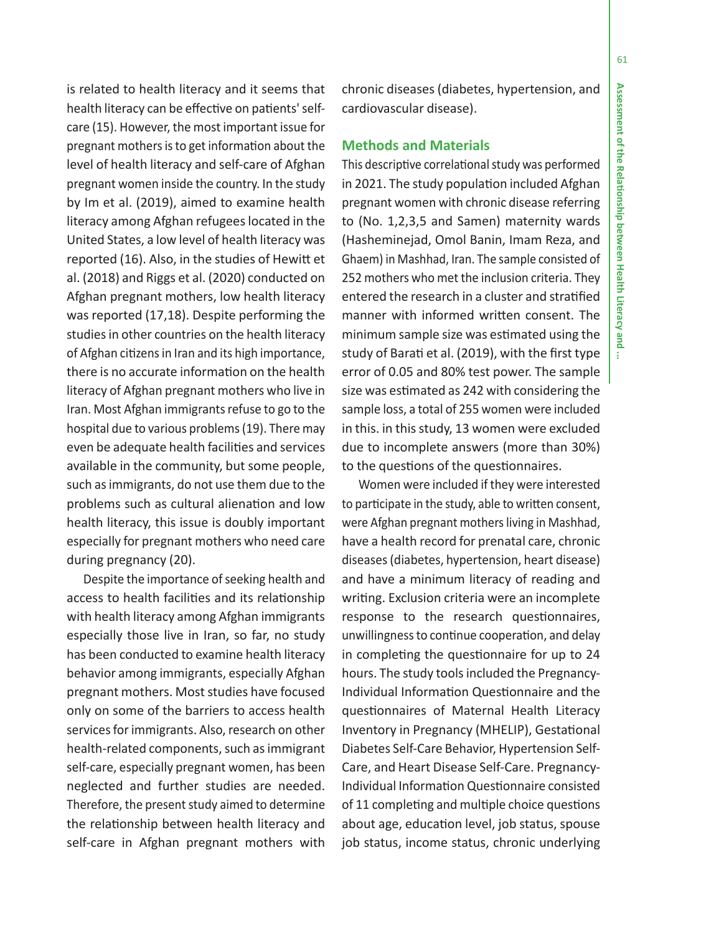is related to health literacy and it seems that health literacy can be effective on patients' selfcare (15). However, the most important issue for pregnant mothers is to get information about the level of health literacy and self-care of Afghan pregnant women inside the country. In the study by Im et al. (2019), aimed to examine health literacy among Afghan refugees located in the United States, a low level of health literacy was reported (16). Also, in the studies of Hewitt et al. (2018) and Riggs et al. (2020) conducted on Afghan pregnant mothers, low health literacy was reported (17,18). Despite performing the studies in other countries on the health literacy of Afghan citizens in Iran and its high importance, there is no accurate information on the health literacy of Afghan pregnant mothers who live in Iran. Most Afghan immigrants refuse to go to the hospital due to various problems (19). There may even be adequate health facilities and services available in the community, but some people, such as immigrants, do not use them due to the problems such as cultural alienation and low health literacy, this issue is doubly important especially for pregnant mothers who need care during pregnancy (20).

Despite the importance of seeking health and access to health facilities and its relationship with health literacy among Afghan immigrants especially those live in Iran, so far, no study has been conducted to examine health literacy behavior among immigrants, especially Afghan pregnant mothers. Most studies have focused only on some of the barriers to access health services for immigrants. Also, research on other health-related components, such as immigrant self-care, especially pregnant women, has been neglected and further studies are needed. Therefore, the present study aimed to determine the relationship between health literacy and self-care in Afghan pregnant mothers with

chronic diseases (diabetes, hypertension, and cardiovascular disease).

## **Methods and Materials**

This descriptive correlational study was performed in 2021. The study population included Afghan pregnant women with chronic disease referring to (No. 1,2,3,5 and Samen) maternity wards (Hasheminejad, Omol Banin, Imam Reza, and Ghaem) in Mashhad, Iran. The sample consisted of 252 mothers who met the inclusion criteria. They entered the research in a cluster and stratified manner with informed written consent. The minimum sample size was estimated using the study of Barati et al. (2019), with the first type error of 0.05 and 80% test power. The sample size was estimated as 242 with considering the sample loss, a total of 255 women were included in this. in this study, 13 women were excluded due to incomplete answers (more than 30%) to the questions of the questionnaires.

Women were included if they were interested to participate in the study, able to written consent, were Afghan pregnant mothers living in Mashhad, have a health record for prenatal care, chronic diseases (diabetes, hypertension, heart disease) and have a minimum literacy of reading and writing. Exclusion criteria were an incomplete response to the research questionnaires, unwillingness to continue cooperation, and delay in completing the questionnaire for up to 24 hours. The study tools included the Pregnancy-Individual Information Questionnaire and the questionnaires of Maternal Health Literacy Inventory in Pregnancy (MHELIP), Gestational Diabetes Self-Care Behavior, Hypertension Self-Care, and Heart Disease Self-Care. Pregnancy-Individual Information Questionnaire consisted of 11 completing and multiple choice questions about age, education level, job status, spouse job status, income status, chronic underlying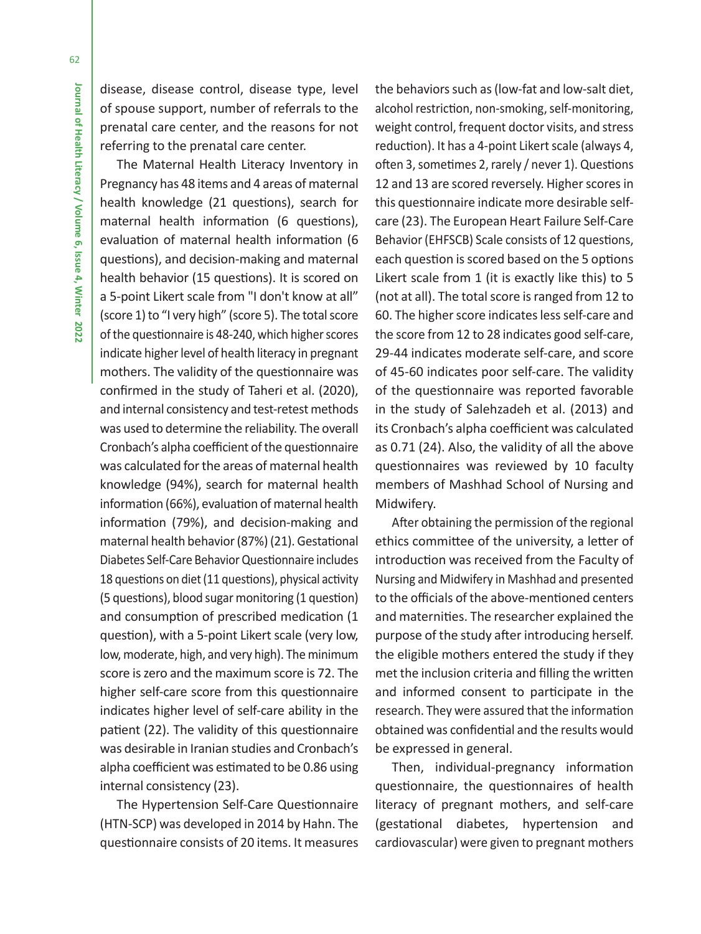disease, disease control, disease type, level of spouse support, number of referrals to the prenatal care center, and the reasons for not referring to the prenatal care center.

The Maternal Health Literacy Inventory in Pregnancy has 48 items and 4 areas of maternal health knowledge (21 questions), search for maternal health information (6 questions), evaluation of maternal health information (6 questions), and decision-making and maternal health behavior (15 questions). It is scored on a 5-point Likert scale from "I don't know at all" (score 1) to "I very high" (score 5). The total score of the questionnaire is 48-240, which higher scores indicate higher level of health literacy in pregnant mothers. The validity of the questionnaire was confirmed in the study of Taheri et al. (2020), and internal consistency and test-retest methods was used to determine the reliability. The overall Cronbach's alpha coefficient of the questionnaire was calculated for the areas of maternal health knowledge (94%), search for maternal health information (66%), evaluation of maternal health information (79%), and decision-making and maternal health behavior (87%) (21). Gestational Diabetes Self-Care Behavior Questionnaire includes 18 questions on diet (11 questions), physical activity (5 questions), blood sugar monitoring (1 question) and consumption of prescribed medication (1 question), with a 5-point Likert scale (very low, low, moderate, high, and very high). The minimum score is zero and the maximum score is 72. The higher self-care score from this questionnaire indicates higher level of self-care ability in the patient (22). The validity of this questionnaire was desirable in Iranian studies and Cronbach's alpha coefficient was estimated to be 0.86 using internal consistency (23).

The Hypertension Self-Care Questionnaire (HTN-SCP) was developed in 2014 by Hahn. The questionnaire consists of 20 items. It measures

the behaviors such as (low-fat and low-salt diet, alcohol restriction, non-smoking, self-monitoring, weight control, frequent doctor visits, and stress reduction). It has a 4-point Likert scale (always 4, often 3, sometimes 2, rarely / never 1). Questions 12 and 13 are scored reversely. Higher scores in this questionnaire indicate more desirable selfcare (23). The European Heart Failure Self-Care Behavior (EHFSCB) Scale consists of 12 questions, each question is scored based on the 5 options Likert scale from 1 (it is exactly like this) to 5 (not at all). The total score is ranged from 12 to 60. The higher score indicates less self-care and the score from 12 to 28 indicates good self-care, 29-44 indicates moderate self-care, and score of 45-60 indicates poor self-care. The validity of the questionnaire was reported favorable in the study of Salehzadeh et al. (2013) and its Cronbach's alpha coefficient was calculated as 0.71 (24). Also, the validity of all the above questionnaires was reviewed by 10 faculty members of Mashhad School of Nursing and Midwifery.

After obtaining the permission of the regional ethics committee of the university, a letter of introduction was received from the Faculty of Nursing and Midwifery in Mashhad and presented to the officials of the above-mentioned centers and maternities. The researcher explained the purpose of the study after introducing herself. the eligible mothers entered the study if they met the inclusion criteria and filling the written and informed consent to participate in the research. They were assured that the information obtained was confidential and the results would be expressed in general.

Then, individual-pregnancy information questionnaire, the questionnaires of health literacy of pregnant mothers, and self-care (gestational diabetes, hypertension and cardiovascular) were given to pregnant mothers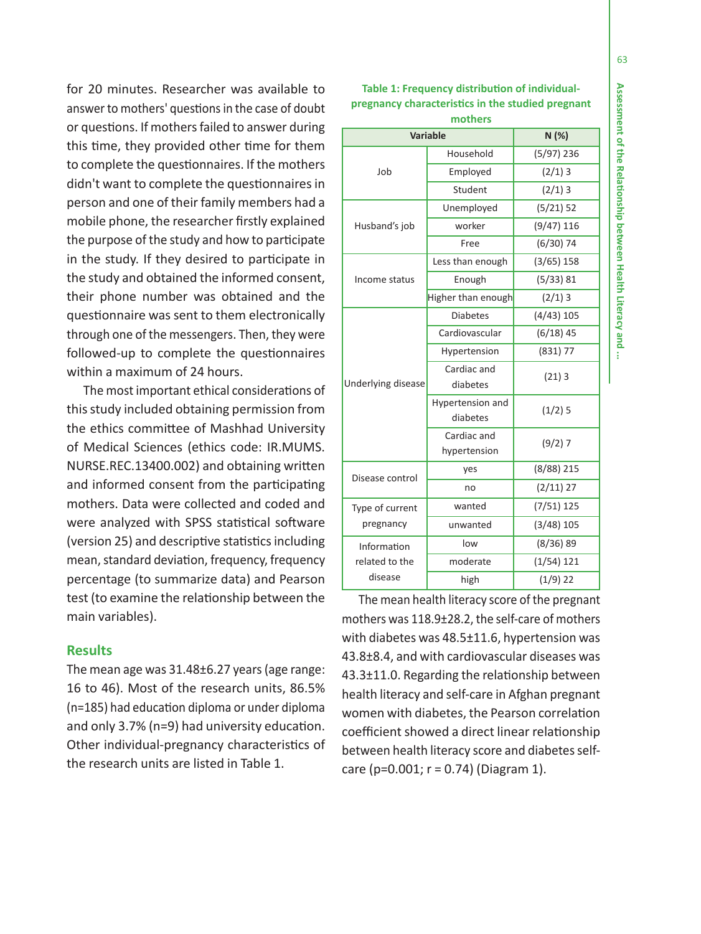**Assessment of the Relationship between Health Literacy and Assessment of the Rela onship between Health Literacy and ...**  ÷

for 20 minutes. Researcher was available to answer to mothers' questions in the case of doubt or questions. If mothers failed to answer during this time, they provided other time for them to complete the questionnaires. If the mothers didn't want to complete the questionnaires in person and one of their family members had a mobile phone, the researcher firstly explained the purpose of the study and how to participate in the study. If they desired to participate in the study and obtained the informed consent, their phone number was obtained and the questionnaire was sent to them electronically through one of the messengers. Then, they were followed-up to complete the questionnaires within a maximum of 24 hours.

The most important ethical considerations of this study included obtaining permission from the ethics committee of Mashhad University of Medical Sciences (ethics code: IR.MUMS. NURSE.REC.13400.002) and obtaining written and informed consent from the participating mothers. Data were collected and coded and were analyzed with SPSS statistical software (version 25) and descriptive statistics including mean, standard deviation, frequency, frequency percentage (to summarize data) and Pearson test (to examine the relationship between the main variables).

## **Results**

The mean age was 31.48±6.27 years (age range: 16 to 46). Most of the research units, 86.5% (n=185) had education diploma or under diploma and only 3.7% (n=9) had university education. Other individual-pregnancy characteristics of the research units are listed in Table 1.

| <b>Variable</b>              |                              | N (%)        |
|------------------------------|------------------------------|--------------|
| Job                          | Household                    | $(5/97)$ 236 |
|                              | Employed                     | $(2/1)$ 3    |
|                              | Student                      | $(2/1)$ 3    |
| Husband's job                | Unemployed                   | (5/21) 52    |
|                              | worker                       | $(9/47)$ 116 |
|                              | Free                         | $(6/30)$ 74  |
| Income status                | Less than enough             | $(3/65)$ 158 |
|                              | Enough                       | (5/33) 81    |
|                              | Higher than enough           | $(2/1)$ 3    |
| Underlying disease           | <b>Diabetes</b>              | $(4/43)$ 105 |
|                              | Cardiovascular               | $(6/18)$ 45  |
|                              | Hypertension                 | (831) 77     |
|                              | Cardiac and<br>diabetes      | (21)3        |
|                              | Hypertension and<br>diabetes | $(1/2)$ 5    |
|                              | Cardiac and<br>hypertension  | $(9/2)$ 7    |
| Disease control              | yes                          | $(8/88)$ 215 |
|                              | no                           | $(2/11)$ 27  |
| Type of current<br>pregnancy | wanted                       | $(7/51)$ 125 |
|                              | unwanted                     | $(3/48)$ 105 |
| Information                  | low                          | $(8/36)$ 89  |
| related to the               | moderate                     | $(1/54)$ 121 |
| disease                      | high                         | $(1/9)$ 22   |

The mean health literacy score of the pregnant mothers was 118.9±28.2, the self-care of mothers with diabetes was 48.5±11.6, hypertension was 43.8±8.4, and with cardiovascular diseases was 43.3±11.0. Regarding the relationship between health literacy and self-care in Afghan pregnant women with diabetes, the Pearson correlation coefficient showed a direct linear relationship between health literacy score and diabetes selfcare ( $p=0.001$ ;  $r = 0.74$ ) (Diagram 1).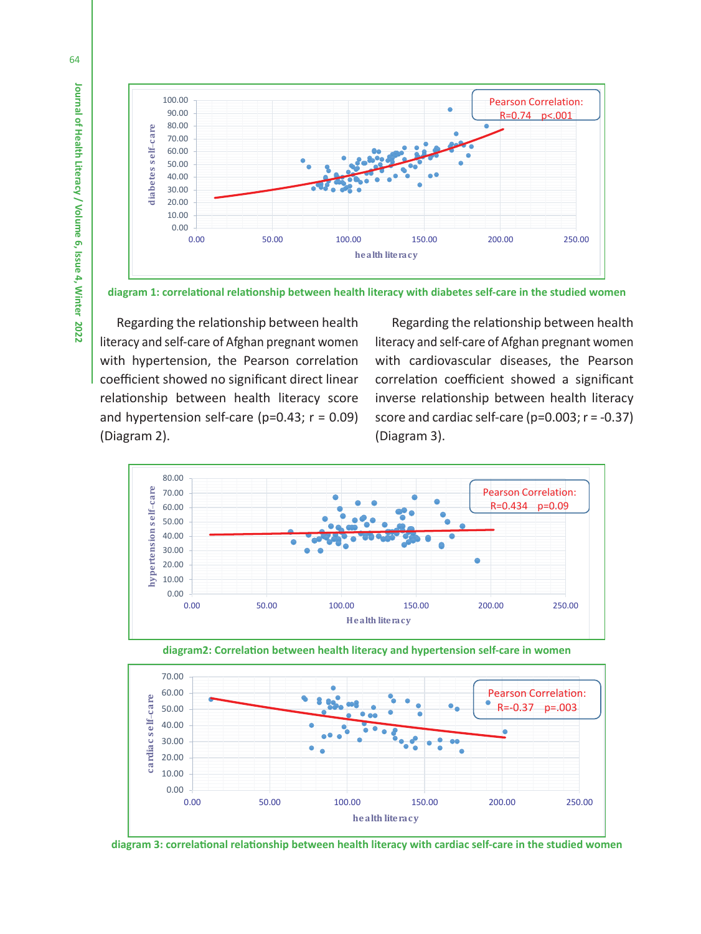

**diagram 1: correlational relationship between health literacy with diabetes self-care in the studied women**

Regarding the relationship between health literacy and self-care of Afghan pregnant women with hypertension, the Pearson correlation coefficient showed no significant direct linear relationship between health literacy score and hypertension self-care ( $p=0.43$ ;  $r = 0.09$ ) (Diagram 2).

Regarding the relationship between health literacy and self-care of Afghan pregnant women with cardiovascular diseases, the Pearson correlation coefficient showed a significant inverse relationship between health literacy score and cardiac self-care (p=0.003; r = -0.37) (Diagram 3).







**diagram 3: correlational relationship between health literacy with cardiac self-care in the studied women**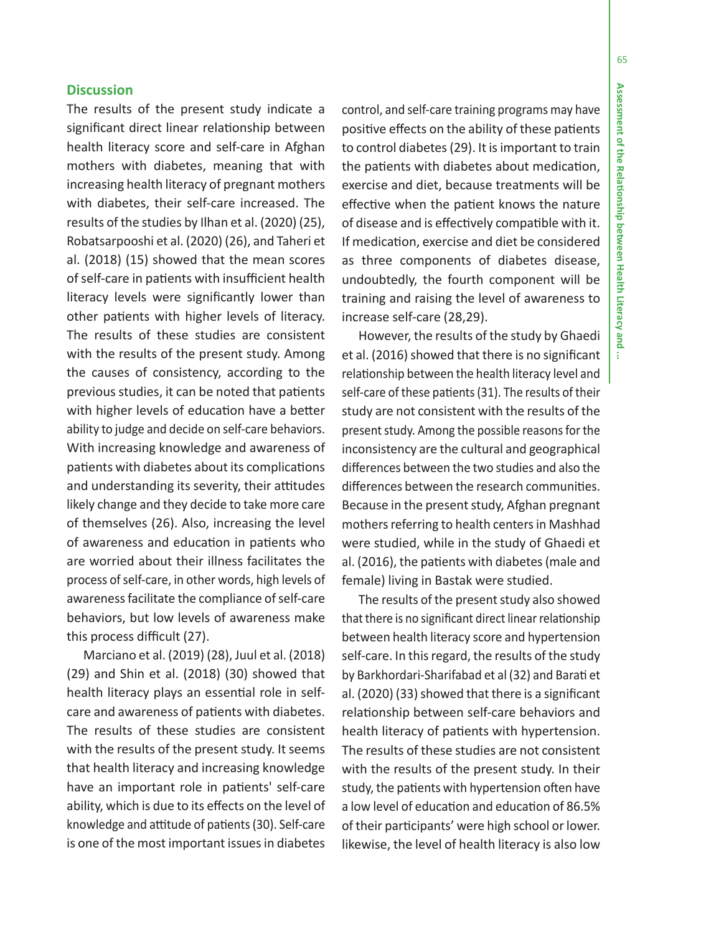÷

65

### **Discussion**

The results of the present study indicate a significant direct linear relationship between health literacy score and self-care in Afghan mothers with diabetes, meaning that with increasing health literacy of pregnant mothers with diabetes, their self-care increased. The results of the studies by Ilhan et al. (2020) (25), Robatsarpooshi et al. (2020) (26), and Taheri et al. (2018) (15) showed that the mean scores of self-care in patients with insufficient health literacy levels were significantly lower than other patients with higher levels of literacy. The results of these studies are consistent with the results of the present study. Among the causes of consistency, according to the previous studies, it can be noted that patients with higher levels of education have a better ability to judge and decide on self-care behaviors. With increasing knowledge and awareness of patients with diabetes about its complications and understanding its severity, their attitudes likely change and they decide to take more care of themselves (26). Also, increasing the level of awareness and education in patients who are worried about their illness facilitates the process of self-care, in other words, high levels of awareness facilitate the compliance of self-care behaviors, but low levels of awareness make this process difficult (27).

Marciano et al. (2019) (28), Juul et al. (2018) (29) and Shin et al. (2018) (30) showed that health literacy plays an essential role in selfcare and awareness of patients with diabetes. The results of these studies are consistent with the results of the present study. It seems that health literacy and increasing knowledge have an important role in patients' self-care ability, which is due to its effects on the level of knowledge and attitude of patients (30). Self-care is one of the most important issues in diabetes

control, and self-care training programs may have positive effects on the ability of these patients to control diabetes (29). It is important to train the patients with diabetes about medication, exercise and diet, because treatments will be effective when the patient knows the nature of disease and is effectively compatible with it. If medication, exercise and diet be considered as three components of diabetes disease, undoubtedly, the fourth component will be training and raising the level of awareness to increase self-care (28,29).

However, the results of the study by Ghaedi et al. (2016) showed that there is no significant relationship between the health literacy level and self-care of these patients (31). The results of their study are not consistent with the results of the present study. Among the possible reasons for the inconsistency are the cultural and geographical differences between the two studies and also the differences between the research communities. Because in the present study, Afghan pregnant mothers referring to health centers in Mashhad were studied, while in the study of Ghaedi et al. (2016), the patients with diabetes (male and female) living in Bastak were studied.

The results of the present study also showed that there is no significant direct linear relationship between health literacy score and hypertension self-care. In this regard, the results of the study by Barkhordari-Sharifabad et al (32) and Barati et al. (2020) (33) showed that there is a significant relationship between self-care behaviors and health literacy of patients with hypertension. The results of these studies are not consistent with the results of the present study. In their study, the patients with hypertension often have a low level of education and education of 86.5% of their participants' were high school or lower. likewise, the level of health literacy is also low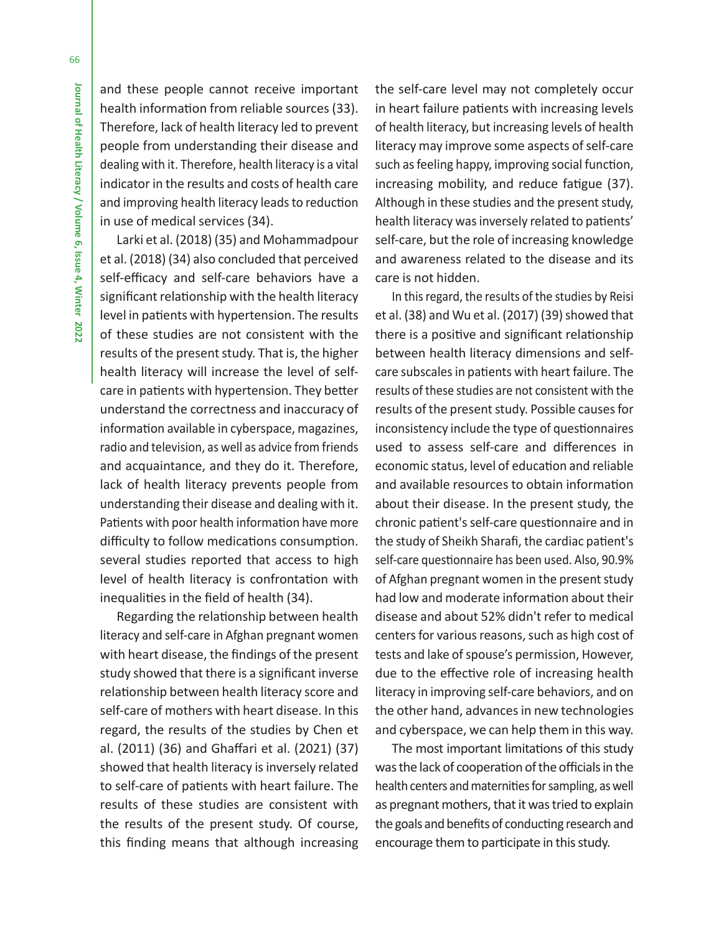and these people cannot receive important health information from reliable sources (33). Therefore, lack of health literacy led to prevent people from understanding their disease and dealing with it. Therefore, health literacy is a vital indicator in the results and costs of health care and improving health literacy leads to reduction in use of medical services (34).

Larki et al. (2018) (35) and Mohammadpour et al. (2018) (34) also concluded that perceived self-efficacy and self-care behaviors have a significant relationship with the health literacy level in patients with hypertension. The results of these studies are not consistent with the results of the present study. That is, the higher health literacy will increase the level of selfcare in patients with hypertension. They better understand the correctness and inaccuracy of information available in cyberspace, magazines, radio and television, as well as advice from friends and acquaintance, and they do it. Therefore, lack of health literacy prevents people from understanding their disease and dealing with it. Patients with poor health information have more difficulty to follow medications consumption. several studies reported that access to high level of health literacy is confrontation with inequalities in the field of health (34).

Regarding the relationship between health literacy and self-care in Afghan pregnant women with heart disease, the findings of the present study showed that there is a significant inverse relationship between health literacy score and self-care of mothers with heart disease. In this regard, the results of the studies by Chen et al. (2011) (36) and Ghaffari et al. (2021) (37) showed that health literacy is inversely related to self-care of patients with heart failure. The results of these studies are consistent with the results of the present study. Of course, this finding means that although increasing

the self-care level may not completely occur in heart failure patients with increasing levels of health literacy, but increasing levels of health literacy may improve some aspects of self-care such as feeling happy, improving social function, increasing mobility, and reduce fatigue (37). Although in these studies and the present study, health literacy was inversely related to patients' self-care, but the role of increasing knowledge and awareness related to the disease and its care is not hidden.

In this regard, the results of the studies by Reisi et al. (38) and Wu et al. (2017) (39) showed that there is a positive and significant relationship between health literacy dimensions and selfcare subscales in patients with heart failure. The results of these studies are not consistent with the results of the present study. Possible causes for inconsistency include the type of questionnaires used to assess self-care and differences in economic status, level of education and reliable and available resources to obtain information about their disease. In the present study, the chronic patient's self-care questionnaire and in the study of Sheikh Sharafi, the cardiac patient's self-care questionnaire has been used. Also, 90.9% of Afghan pregnant women in the present study had low and moderate information about their disease and about 52% didn't refer to medical centers for various reasons, such as high cost of tests and lake of spouse's permission, However, due to the effective role of increasing health literacy in improving self-care behaviors, and on the other hand, advances in new technologies and cyberspace, we can help them in this way.

The most important limitations of this study was the lack of cooperation of the officials in the health centers and maternities for sampling, as well as pregnant mothers, that it was tried to explain the goals and benefits of conducting research and encourage them to participate in this study.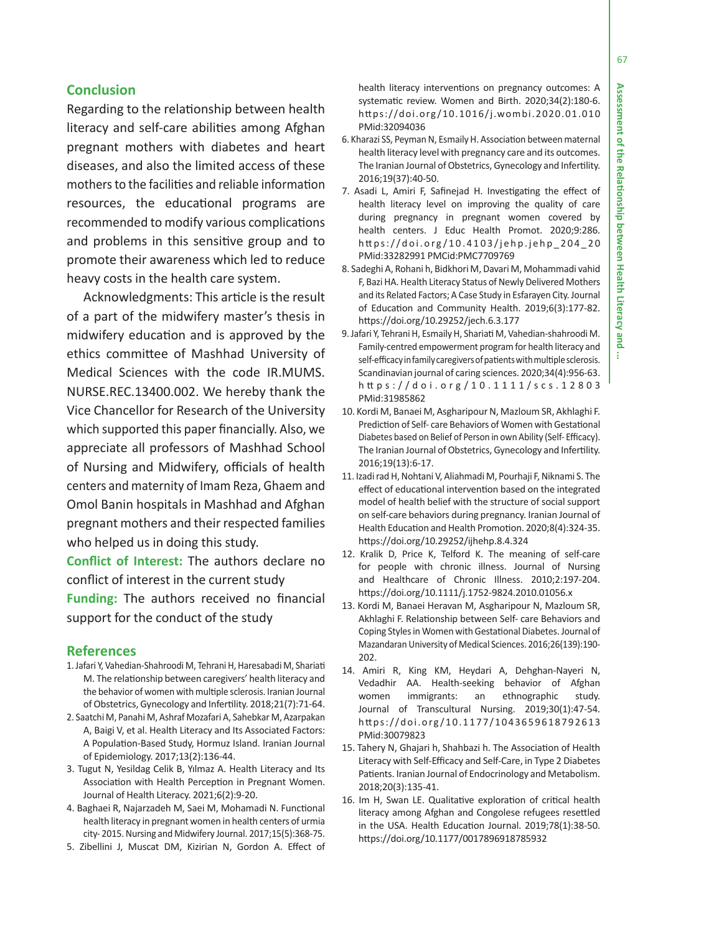÷

### **Conclusion**

Regarding to the relationship between health literacy and self-care abilities among Afghan pregnant mothers with diabetes and heart diseases, and also the limited access of these mothers to the facilities and reliable information resources, the educational programs are recommended to modify various complications and problems in this sensitive group and to promote their awareness which led to reduce heavy costs in the health care system.

Acknowledgments: This article is the result of a part of the midwifery master's thesis in midwifery education and is approved by the ethics committee of Mashhad University of Medical Sciences with the code IR.MUMS. NURSE.REC.13400.002. We hereby thank the Vice Chancellor for Research of the University which supported this paper financially. Also, we appreciate all professors of Mashhad School of Nursing and Midwifery, officials of health centers and maternity of Imam Reza, Ghaem and Omol Banin hospitals in Mashhad and Afghan pregnant mothers and their respected families who helped us in doing this study.

**Conflict of Interest:** The authors declare no conflict of interest in the current study **Funding:** The authors received no financial support for the conduct of the study

#### **References**

- 1. Jafari Y, Vahedian-Shahroodi M, Tehrani H, Haresabadi M, Shariati M. The relationship between caregivers' health literacy and the behavior of women with multiple sclerosis. Iranian Journal of Obstetrics, Gynecology and Infertility. 2018;21(7):71-64.
- 2. Saatchi M, Panahi M, Ashraf Mozafari A, Sahebkar M, Azarpakan A, Baigi V, et al. Health Literacy and Its Associated Factors: A Population-Based Study, Hormuz Island. Iranian Journal of Epidemiology. 2017;13(2):136-44.
- 3. Tugut N, Yesildag Celik B, Yılmaz A. Health Literacy and Its Association with Health Perception in Pregnant Women. Journal of Health Literacy. 2021;6(2):9-20.
- 4. Baghaei R, Najarzadeh M, Saei M, Mohamadi N. Functional health literacy in pregnant women in health centers of urmia city- 2015. Nursing and Midwifery Journal. 2017;15(5):368-75.
- 5. Zibellini J, Muscat DM, Kizirian N, Gordon A. Effect of

health literacy interventions on pregnancy outcomes: A systematic review. Women and Birth. 2020;34(2):180-6. https://doi.org/10.1016/j.wombi.2020.01.010 PMid:32094036

- 6. Kharazi SS, Peyman N, Esmaily H. Association between maternal health literacy level with pregnancy care and its outcomes. The Iranian Journal of Obstetrics, Gynecology and Infertility. 2016;19(37):40-50.
- 7. Asadi L, Amiri F, Safinejad H. Investigating the effect of health literacy level on improving the quality of care during pregnancy in pregnant women covered by health centers. J Educ Health Promot. 2020;9:286. https://doi.org/10.4103/jehp.jehp\_204\_20 PMid:33282991 PMCid:PMC7709769
- 8. Sadeghi A, Rohani h, Bidkhori M, Davari M, Mohammadi vahid F, Bazi HA. Health Literacy Status of Newly Delivered Mothers and its Related Factors; A Case Study in Esfarayen City. Journal of Education and Community Health. 2019;6(3):177-82. https://doi.org/10.29252/jech.6.3.177
- 9. Jafari Y, Tehrani H, Esmaily H, Shariati M, Vahedian-shahroodi M. Family-centred empowerment program for health literacy and self-efficacy in family caregivers of patients with multiple sclerosis. Scandinavian journal of caring sciences. 2020;34(4):956-63. h tt ps://doi.org/10.1111/scs.12803 PMid:31985862
- 10. Kordi M, Banaei M, Asgharipour N, Mazloum SR, Akhlaghi F. Prediction of Self- care Behaviors of Women with Gestational Diabetes based on Belief of Person in own Ability (Self- Efficacy). The Iranian Journal of Obstetrics, Gynecology and Infertility. 2016;19(13):6-17.
- 11. Izadi rad H, Nohtani V, Aliahmadi M, Pourhaji F, Niknami S. The effect of educational intervention based on the integrated model of health belief with the structure of social support on self-care behaviors during pregnancy. Iranian Journal of Health Education and Health Promotion. 2020;8(4):324-35. https://doi.org/10.29252/ijhehp.8.4.324
- 12. Kralik D, Price K, Telford K. The meaning of self-care for people with chronic illness. Journal of Nursing and Healthcare of Chronic Illness. 2010;2:197-204. https://doi.org/10.1111/j.1752-9824.2010.01056.x
- 13. Kordi M, Banaei Heravan M, Asgharipour N, Mazloum SR, Akhlaghi F. Relationship between Self- care Behaviors and Coping Styles in Women with Gestational Diabetes. Journal of Mazandaran University of Medical Sciences. 2016;26(139):190- 202.
- 14. Amiri R, King KM, Heydari A, Dehghan-Nayeri N, Vedadhir AA. Health-seeking behavior of Afghan women immigrants: an ethnographic study. Journal of Transcultural Nursing. 2019;30(1):47-54. https://doi.org/10.1177/1043659618792613 PMid:30079823
- 15. Tahery N, Ghajari h, Shahbazi h. The Association of Health Literacy with Self-Efficacy and Self-Care, in Type 2 Diabetes Patients. Iranian Journal of Endocrinology and Metabolism. 2018;20(3):135-41.
- 16. Im H, Swan LE. Qualitative exploration of critical health literacy among Afghan and Congolese refugees resettled in the USA. Health Education Journal. 2019;78(1):38-50. https://doi.org/10.1177/0017896918785932

67